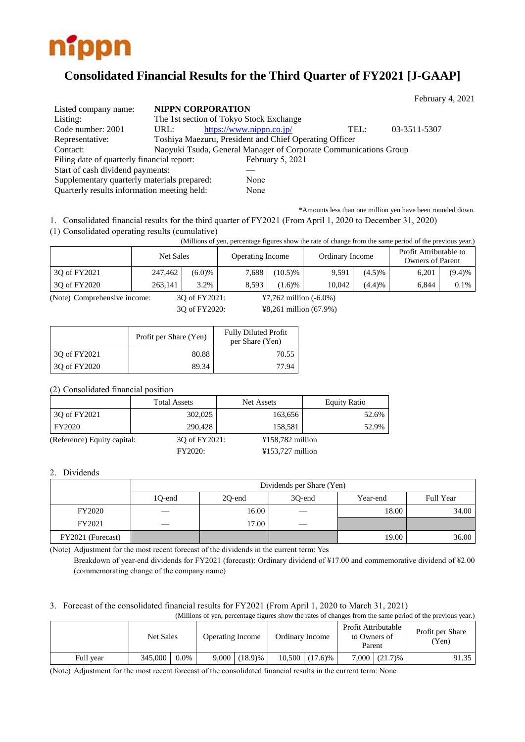

# **Consolidated Financial Results for the Third Quarter of FY2021 [J-GAAP]**

|                                             |      |                                                                  |      | $1$ COT tractly $\pi$ , $2021$ |  |
|---------------------------------------------|------|------------------------------------------------------------------|------|--------------------------------|--|
| Listed company name:                        |      | <b>NIPPN CORPORATION</b>                                         |      |                                |  |
| Listing:                                    |      | The 1st section of Tokyo Stock Exchange                          |      |                                |  |
| Code number: 2001                           | URL: | https://www.nippn.co.jp/                                         | TEL: | 03-3511-5307                   |  |
| Representative:                             |      | Toshiya Maezuru, President and Chief Operating Officer           |      |                                |  |
| Contact:                                    |      | Naoyuki Tsuda, General Manager of Corporate Communications Group |      |                                |  |
| Filing date of quarterly financial report:  |      | February 5, 2021                                                 |      |                                |  |
| Start of cash dividend payments:            |      |                                                                  |      |                                |  |
| Supplementary quarterly materials prepared: |      | None                                                             |      |                                |  |
| Quarterly results information meeting held: |      | None                                                             |      |                                |  |

\*Amounts less than one million yen have been rounded down.

 $E_2$ <sub>bruary</sub>  $4, 2021$ 

1. Consolidated financial results for the third quarter of FY2021 (From April 1, 2020 to December 31, 2020)

(1) Consolidated operating results (cumulative)

(Millions of yen, percentage figures show the rate of change from the same period of the previous year.)

|              |         | Net Sales<br>Ordinary Income<br><b>Operating Income</b> |       |            |        |        | Profit Attributable to<br><b>Owners of Parent</b> |         |
|--------------|---------|---------------------------------------------------------|-------|------------|--------|--------|---------------------------------------------------|---------|
| 30 of FY2021 | 247.462 | (6.0)%                                                  | 7,688 | $(10.5)\%$ | 9,591  | (4.5)% | 6.201                                             | (9.4)%  |
| 30 of FY2020 | 263.141 | 3.2%                                                    | 8.593 | 1.6)%      | 10.042 | (4.4)% | 6.844                                             | $0.1\%$ |

(Note) Comprehensive income: 3Q of FY2021: ¥7,762 million (-6.0%)

3Q of FY2020: ¥8,261 million (67.9%)

|              | Profit per Share (Yen) | <b>Fully Diluted Profit</b><br>per Share (Yen) |
|--------------|------------------------|------------------------------------------------|
| 30 of FY2021 | 80.88                  | 70.55                                          |
| 3Q of FY2020 | 89.34                  | 77.94                                          |

(2) Consolidated financial position

|                             | <b>Total Assets</b> | Net Assets         | <b>Equity Ratio</b> |
|-----------------------------|---------------------|--------------------|---------------------|
| 30 of FY2021                | 302,025             | 163,656            | 52.6%               |
| FY2020                      | 290.428             | 158.581            | 52.9%               |
| (Reference) Equity capital: | 30 of FY2021:       | $¥158,782$ million |                     |
|                             | <b>FY2020:</b>      | $¥153,727$ million |                     |

#### 2. Dividends

|                   | Dividends per Share (Yen) |        |               |          |           |  |  |
|-------------------|---------------------------|--------|---------------|----------|-----------|--|--|
|                   | 1Q-end                    | 20-end | 30-end        | Year-end | Full Year |  |  |
| <b>FY2020</b>     | __                        | 16.00  |               | 18.00    | 34.00     |  |  |
| FY2021            |                           | 17.00  | $\frac{1}{2}$ |          |           |  |  |
| FY2021 (Forecast) |                           |        |               | 19.00    | 36.00     |  |  |

(Note) Adjustment for the most recent forecast of the dividends in the current term: Yes

Breakdown of year-end dividends for FY2021 (forecast): Ordinary dividend of ¥17.00 and commemorative dividend of ¥2.00 (commemorating change of the company name)

### 3. Forecast of the consolidated financial results for FY2021 (From April 1, 2020 to March 31, 2021)

| (Millions of yen, percentage figures show the rates of changes from the same period of the previous year.) |           |         |                         |                 |                 |                  |                                               |                    |                           |
|------------------------------------------------------------------------------------------------------------|-----------|---------|-------------------------|-----------------|-----------------|------------------|-----------------------------------------------|--------------------|---------------------------|
|                                                                                                            | Net Sales |         | <b>Operating Income</b> |                 | Ordinary Income |                  | Profit Attributable<br>to Owners of<br>Parent |                    | Profit per Share<br>(Yen) |
| Full vear                                                                                                  | 345,000   | $0.0\%$ |                         | $9,000$ (18.9)% |                 | $10,500$ (17.6)% |                                               | $7,000$ $(21.7)\%$ | 91.35                     |

(Note) Adjustment for the most recent forecast of the consolidated financial results in the current term: None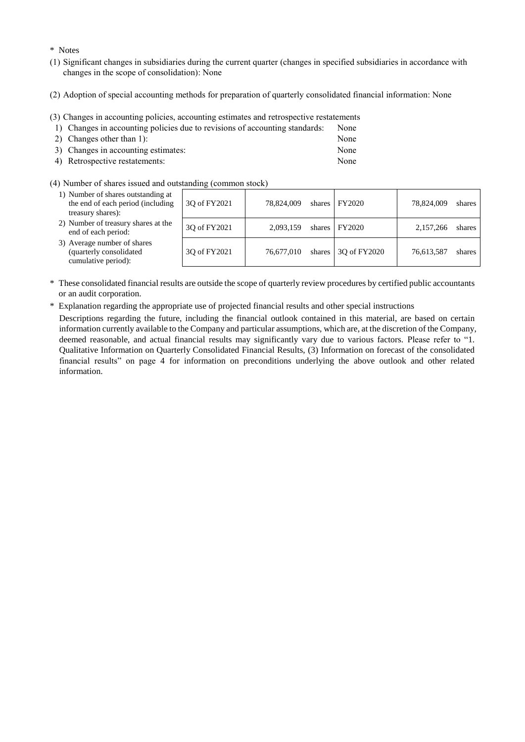\* Notes

- (1) Significant changes in subsidiaries during the current quarter (changes in specified subsidiaries in accordance with changes in the scope of consolidation): None
- (2) Adoption of special accounting methods for preparation of quarterly consolidated financial information: None
- (3) Changes in accounting policies, accounting estimates and retrospective restatements

| 1) Changes in accounting policies due to revisions of accounting standards: | None |
|-----------------------------------------------------------------------------|------|
| 2) Changes other than $1$ :                                                 | None |

| $\omega$ ) Changes outer than 1).   | 11011C |
|-------------------------------------|--------|
| 3) Changes in accounting estimates: | None   |
| 4) Retrospective restatements:      | None   |

(4) Number of shares issued and outstanding (common stock)

| 1) Number of shares outstanding at<br>the end of each period (including<br>treasury shares): | 30 of FY2021 | 78,824,009 | shares FY2020               | 78,824,009 | shares |
|----------------------------------------------------------------------------------------------|--------------|------------|-----------------------------|------------|--------|
| 2) Number of treasury shares at the<br>end of each period:                                   | 30 of FY2021 | 2.093.159  | shares FY2020               | 2.157.266  | shares |
| 3) Average number of shares<br>(quarterly consolidated<br>cumulative period):                | 30 of FY2021 | 76,677,010 | shares $\vert$ 30 of FY2020 | 76,613,587 | shares |

- \* These consolidated financial results are outside the scope of quarterly review procedures by certified public accountants or an audit corporation.
- \* Explanation regarding the appropriate use of projected financial results and other special instructions

Descriptions regarding the future, including the financial outlook contained in this material, are based on certain information currently available to the Company and particular assumptions, which are, at the discretion of the Company, deemed reasonable, and actual financial results may significantly vary due to various factors. Please refer to "1. Qualitative Information on Quarterly Consolidated Financial Results, (3) Information on forecast of the consolidated financial results" on page 4 for information on preconditions underlying the above outlook and other related information.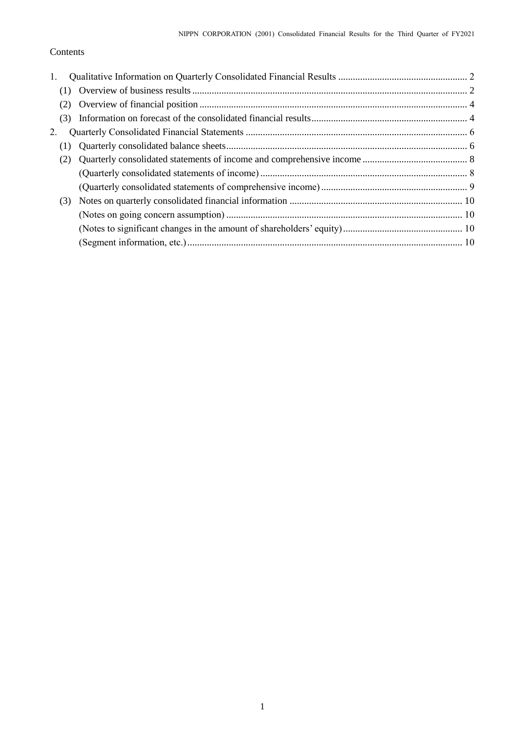### Contents

| 1.  |  |
|-----|--|
|     |  |
|     |  |
|     |  |
| 2.  |  |
|     |  |
|     |  |
|     |  |
|     |  |
| (3) |  |
|     |  |
|     |  |
|     |  |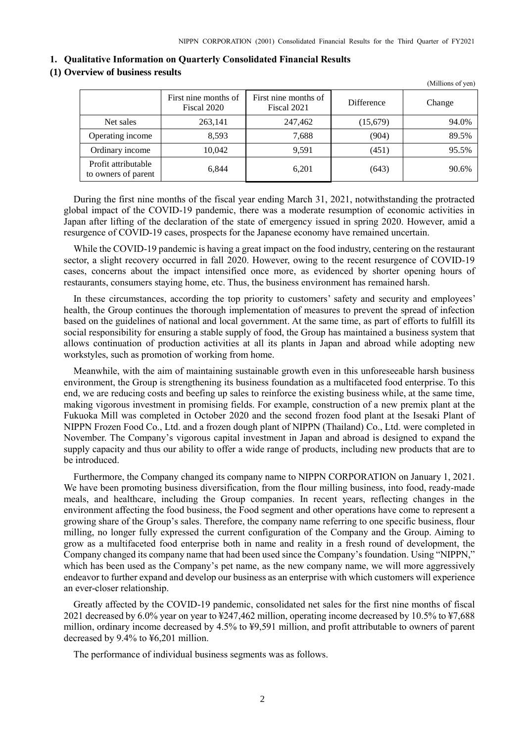(Millions of yen)

<span id="page-3-0"></span>

| 1. Qualitative Information on Quarterly Consolidated Financial Results |
|------------------------------------------------------------------------|
|------------------------------------------------------------------------|

### <span id="page-3-1"></span>**(1) Overview of business results**

|                                            | First nine months of<br>Fiscal 2020 | First nine months of<br>Fiscal 2021 | <b>Difference</b> | Change |
|--------------------------------------------|-------------------------------------|-------------------------------------|-------------------|--------|
| Net sales                                  | 263,141                             | 247,462                             | (15,679)          | 94.0%  |
| Operating income                           | 8,593                               | 7,688                               | (904)             | 89.5%  |
| Ordinary income                            | 10,042                              | 9,591                               | (451)             | 95.5%  |
| Profit attributable<br>to owners of parent | 6,844                               | 6,201                               | (643)             | 90.6%  |

During the first nine months of the fiscal year ending March 31, 2021, notwithstanding the protracted global impact of the COVID-19 pandemic, there was a moderate resumption of economic activities in Japan after lifting of the declaration of the state of emergency issued in spring 2020. However, amid a resurgence of COVID-19 cases, prospects for the Japanese economy have remained uncertain.

While the COVID-19 pandemic is having a great impact on the food industry, centering on the restaurant sector, a slight recovery occurred in fall 2020. However, owing to the recent resurgence of COVID-19 cases, concerns about the impact intensified once more, as evidenced by shorter opening hours of restaurants, consumers staying home, etc. Thus, the business environment has remained harsh.

In these circumstances, according the top priority to customers' safety and security and employees' health, the Group continues the thorough implementation of measures to prevent the spread of infection based on the guidelines of national and local government. At the same time, as part of efforts to fulfill its social responsibility for ensuring a stable supply of food, the Group has maintained a business system that allows continuation of production activities at all its plants in Japan and abroad while adopting new workstyles, such as promotion of working from home.

Meanwhile, with the aim of maintaining sustainable growth even in this unforeseeable harsh business environment, the Group is strengthening its business foundation as a multifaceted food enterprise. To this end, we are reducing costs and beefing up sales to reinforce the existing business while, at the same time, making vigorous investment in promising fields. For example, construction of a new premix plant at the Fukuoka Mill was completed in October 2020 and the second frozen food plant at the Isesaki Plant of NIPPN Frozen Food Co., Ltd. and a frozen dough plant of NIPPN (Thailand) Co., Ltd. were completed in November. The Company's vigorous capital investment in Japan and abroad is designed to expand the supply capacity and thus our ability to offer a wide range of products, including new products that are to be introduced.

Furthermore, the Company changed its company name to NIPPN CORPORATION on January 1, 2021. We have been promoting business diversification, from the flour milling business, into food, ready-made meals, and healthcare, including the Group companies. In recent years, reflecting changes in the environment affecting the food business, the Food segment and other operations have come to represent a growing share of the Group's sales. Therefore, the company name referring to one specific business, flour milling, no longer fully expressed the current configuration of the Company and the Group. Aiming to grow as a multifaceted food enterprise both in name and reality in a fresh round of development, the Company changed its company name that had been used since the Company's foundation. Using "NIPPN," which has been used as the Company's pet name, as the new company name, we will more aggressively endeavor to further expand and develop our business as an enterprise with which customers will experience an ever-closer relationship.

Greatly affected by the COVID-19 pandemic, consolidated net sales for the first nine months of fiscal 2021 decreased by 6.0% year on year to ¥247,462 million, operating income decreased by 10.5% to ¥7,688 million, ordinary income decreased by 4.5% to ¥9,591 million, and profit attributable to owners of parent decreased by 9.4% to ¥6,201 million.

The performance of individual business segments was as follows.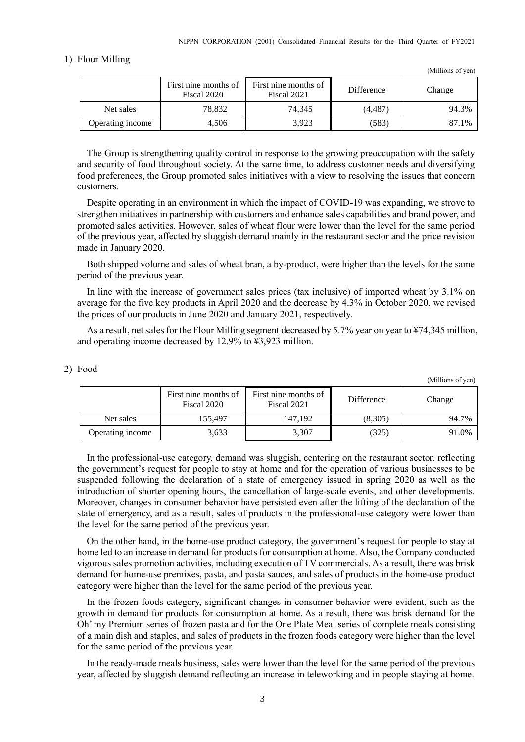#### 1) Flour Milling

|                  | First nine months of<br>Fiscal 2020 | First nine months of<br>Fiscal 2021 | <b>Difference</b> | Change |
|------------------|-------------------------------------|-------------------------------------|-------------------|--------|
| Net sales        | 78,832                              | 74.345                              | (4.487)           | 94.3%  |
| Operating income | 4.506                               | 3.923                               | (583)             | 87.1%  |

The Group is strengthening quality control in response to the growing preoccupation with the safety and security of food throughout society. At the same time, to address customer needs and diversifying food preferences, the Group promoted sales initiatives with a view to resolving the issues that concern customers.

Despite operating in an environment in which the impact of COVID-19 was expanding, we strove to strengthen initiatives in partnership with customers and enhance sales capabilities and brand power, and promoted sales activities. However, sales of wheat flour were lower than the level for the same period of the previous year, affected by sluggish demand mainly in the restaurant sector and the price revision made in January 2020.

Both shipped volume and sales of wheat bran, a by-product, were higher than the levels for the same period of the previous year.

In line with the increase of government sales prices (tax inclusive) of imported wheat by 3.1% on average for the five key products in April 2020 and the decrease by 4.3% in October 2020, we revised the prices of our products in June 2020 and January 2021, respectively.

As a result, net sales for the Flour Milling segment decreased by 5.7% year on year to ¥74,345 million, and operating income decreased by 12.9% to ¥3,923 million.

|                  | First nine months of<br>Fiscal 2020 | First nine months of<br>Fiscal 2021 | Difference | Change |
|------------------|-------------------------------------|-------------------------------------|------------|--------|
| Net sales        | 155.497                             | 147.192                             | (8,305)    | 94.7%  |
| Operating income | 3,633                               | 3,307                               | (325)      | 91.0%  |

In the professional-use category, demand was sluggish, centering on the restaurant sector, reflecting the government's request for people to stay at home and for the operation of various businesses to be suspended following the declaration of a state of emergency issued in spring 2020 as well as the introduction of shorter opening hours, the cancellation of large-scale events, and other developments. Moreover, changes in consumer behavior have persisted even after the lifting of the declaration of the state of emergency, and as a result, sales of products in the professional-use category were lower than the level for the same period of the previous year.

On the other hand, in the home-use product category, the government's request for people to stay at home led to an increase in demand for products for consumption at home. Also, the Company conducted vigorous sales promotion activities, including execution of TV commercials. As a result, there was brisk demand for home-use premixes, pasta, and pasta sauces, and sales of products in the home-use product category were higher than the level for the same period of the previous year.

In the frozen foods category, significant changes in consumer behavior were evident, such as the growth in demand for products for consumption at home. As a result, there was brisk demand for the Oh' my Premium series of frozen pasta and for the One Plate Meal series of complete meals consisting of a main dish and staples, and sales of products in the frozen foods category were higher than the level for the same period of the previous year.

In the ready-made meals business, sales were lower than the level for the same period of the previous year, affected by sluggish demand reflecting an increase in teleworking and in people staying at home.

(Millions of yen)

(Millions of yen)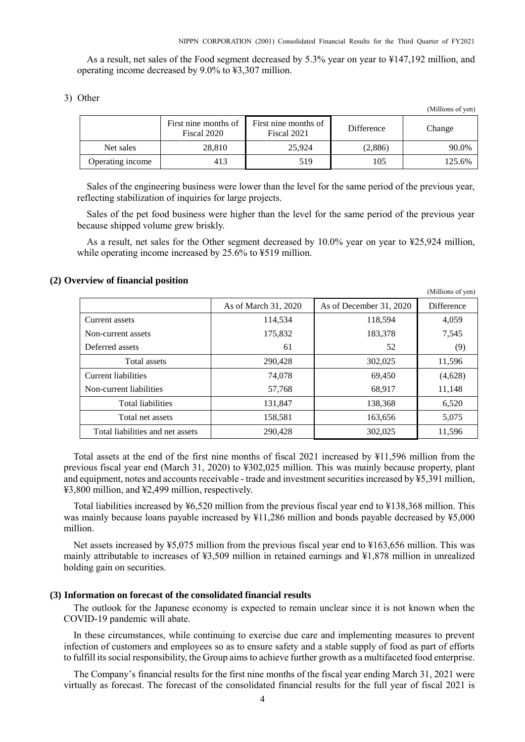(Millions of yen)

As a result, net sales of the Food segment decreased by 5.3% year on year to ¥147,192 million, and operating income decreased by 9.0% to ¥3,307 million.

| Other |
|-------|
|       |

|                  |                                     |                                     |            | (Millions of yen) |
|------------------|-------------------------------------|-------------------------------------|------------|-------------------|
|                  | First nine months of<br>Fiscal 2020 | First nine months of<br>Fiscal 2021 | Difference | Change            |
| Net sales        | 28,810                              | 25.924                              | (2,886)    | 90.0%             |
| Operating income | 413                                 | 519                                 | 105        | 125.6%            |

Sales of the engineering business were lower than the level for the same period of the previous year, reflecting stabilization of inquiries for large projects.

Sales of the pet food business were higher than the level for the same period of the previous year because shipped volume grew briskly.

As a result, net sales for the Other segment decreased by 10.0% year on year to ¥25,924 million, while operating income increased by 25.6% to ¥519 million.

#### <span id="page-5-0"></span>**(2) Overview of financial position**

|                                  |                      |                         | (1.111110110011)  |
|----------------------------------|----------------------|-------------------------|-------------------|
|                                  | As of March 31, 2020 | As of December 31, 2020 | <b>Difference</b> |
| Current assets                   | 114,534              | 118,594                 | 4,059             |
| Non-current assets               | 175,832              | 183,378                 | 7,545             |
| Deferred assets                  | 61                   | 52                      | (9)               |
| Total assets                     | 290,428              | 302,025                 | 11,596            |
| Current liabilities              | 74,078               | 69,450                  | (4,628)           |
| Non-current liabilities          | 57,768               | 68.917                  | 11,148            |
| <b>Total liabilities</b>         | 131,847              | 138,368                 | 6,520             |
| Total net assets                 | 158,581              | 163,656                 | 5,075             |
| Total liabilities and net assets | 290,428              | 302,025                 | 11,596            |

Total assets at the end of the first nine months of fiscal 2021 increased by ¥11,596 million from the previous fiscal year end (March 31, 2020) to ¥302,025 million. This was mainly because property, plant and equipment, notes and accounts receivable - trade and investment securities increased by ¥5,391 million, ¥3,800 million, and ¥2,499 million, respectively.

Total liabilities increased by ¥6,520 million from the previous fiscal year end to ¥138,368 million. This was mainly because loans payable increased by ¥11,286 million and bonds payable decreased by ¥5,000 million.

Net assets increased by ¥5,075 million from the previous fiscal year end to ¥163,656 million. This was mainly attributable to increases of ¥3,509 million in retained earnings and ¥1,878 million in unrealized holding gain on securities.

### <span id="page-5-1"></span>**(3) Information on forecast of the consolidated financial results**

The outlook for the Japanese economy is expected to remain unclear since it is not known when the COVID-19 pandemic will abate.

In these circumstances, while continuing to exercise due care and implementing measures to prevent infection of customers and employees so as to ensure safety and a stable supply of food as part of efforts to fulfill its social responsibility, the Group aims to achieve further growth as a multifaceted food enterprise.

The Company's financial results for the first nine months of the fiscal year ending March 31, 2021 were virtually as forecast. The forecast of the consolidated financial results for the full year of fiscal 2021 is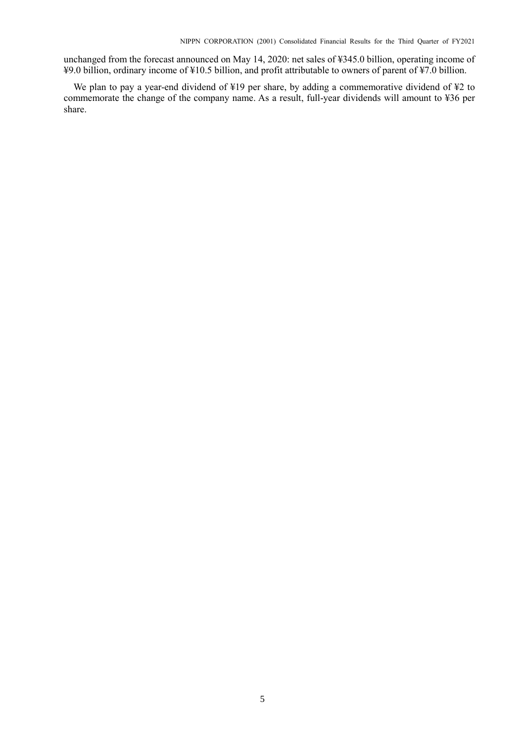unchanged from the forecast announced on May 14, 2020: net sales of ¥345.0 billion, operating income of ¥9.0 billion, ordinary income of ¥10.5 billion, and profit attributable to owners of parent of ¥7.0 billion.

We plan to pay a year-end dividend of ¥19 per share, by adding a commemorative dividend of ¥2 to commemorate the change of the company name. As a result, full-year dividends will amount to ¥36 per share.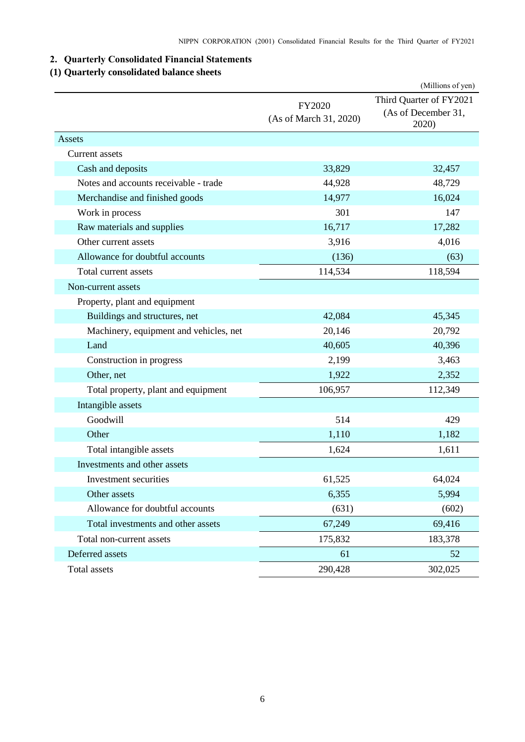## <span id="page-7-0"></span>**2. Quarterly Consolidated Financial Statements**

### <span id="page-7-1"></span>**(1) Quarterly consolidated balance sheets**

|                                        |                                  | (Millions of yen)                                       |
|----------------------------------------|----------------------------------|---------------------------------------------------------|
|                                        | FY2020<br>(As of March 31, 2020) | Third Quarter of FY2021<br>(As of December 31,<br>2020) |
| Assets                                 |                                  |                                                         |
| Current assets                         |                                  |                                                         |
| Cash and deposits                      | 33,829                           | 32,457                                                  |
| Notes and accounts receivable - trade  | 44,928                           | 48,729                                                  |
| Merchandise and finished goods         | 14,977                           | 16,024                                                  |
| Work in process                        | 301                              | 147                                                     |
| Raw materials and supplies             | 16,717                           | 17,282                                                  |
| Other current assets                   | 3,916                            | 4,016                                                   |
| Allowance for doubtful accounts        | (136)                            | (63)                                                    |
| Total current assets                   | 114,534                          | 118,594                                                 |
| Non-current assets                     |                                  |                                                         |
| Property, plant and equipment          |                                  |                                                         |
| Buildings and structures, net          | 42,084                           | 45,345                                                  |
| Machinery, equipment and vehicles, net | 20,146                           | 20,792                                                  |
| Land                                   | 40,605                           | 40,396                                                  |
| Construction in progress               | 2,199                            | 3,463                                                   |
| Other, net                             | 1,922                            | 2,352                                                   |
| Total property, plant and equipment    | 106,957                          | 112,349                                                 |
| Intangible assets                      |                                  |                                                         |
| Goodwill                               | 514                              | 429                                                     |
| Other                                  | 1,110                            | 1,182                                                   |
| Total intangible assets                | 1,624                            | 1,611                                                   |
| Investments and other assets           |                                  |                                                         |
| Investment securities                  | 61,525                           | 64,024                                                  |
| Other assets                           | 6,355                            | 5,994                                                   |
| Allowance for doubtful accounts        | (631)                            | (602)                                                   |
| Total investments and other assets     | 67,249                           | 69,416                                                  |
| Total non-current assets               | 175,832                          | 183,378                                                 |
| Deferred assets                        | 61                               | 52                                                      |
| Total assets                           | 290,428                          | 302,025                                                 |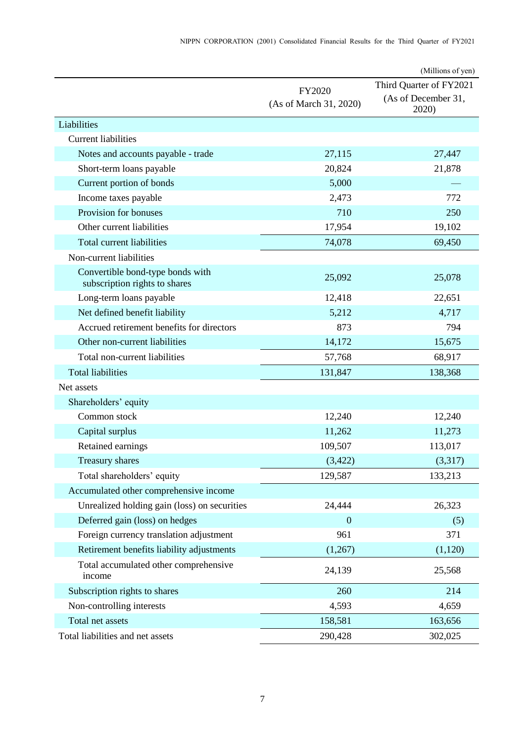|                                                                   |                                  | (Millions of yen)                                       |
|-------------------------------------------------------------------|----------------------------------|---------------------------------------------------------|
|                                                                   | FY2020<br>(As of March 31, 2020) | Third Quarter of FY2021<br>(As of December 31,<br>2020) |
| Liabilities                                                       |                                  |                                                         |
| <b>Current liabilities</b>                                        |                                  |                                                         |
| Notes and accounts payable - trade                                | 27,115                           | 27,447                                                  |
| Short-term loans payable                                          | 20,824                           | 21,878                                                  |
| Current portion of bonds                                          | 5,000                            |                                                         |
| Income taxes payable                                              | 2,473                            | 772                                                     |
| Provision for bonuses                                             | 710                              | 250                                                     |
| Other current liabilities                                         | 17,954                           | 19,102                                                  |
| Total current liabilities                                         | 74,078                           | 69,450                                                  |
| Non-current liabilities                                           |                                  |                                                         |
| Convertible bond-type bonds with<br>subscription rights to shares | 25,092                           | 25,078                                                  |
| Long-term loans payable                                           | 12,418                           | 22,651                                                  |
| Net defined benefit liability                                     | 5,212                            | 4,717                                                   |
| Accrued retirement benefits for directors                         | 873                              | 794                                                     |
| Other non-current liabilities                                     | 14,172                           | 15,675                                                  |
| Total non-current liabilities                                     | 57,768                           | 68,917                                                  |
| <b>Total liabilities</b>                                          | 131,847                          | 138,368                                                 |
| Net assets                                                        |                                  |                                                         |
| Shareholders' equity                                              |                                  |                                                         |
| Common stock                                                      | 12,240                           | 12,240                                                  |
| Capital surplus                                                   | 11,262                           | 11,273                                                  |
| Retained earnings                                                 | 109,507                          | 113,017                                                 |
| <b>Treasury shares</b>                                            | (3, 422)                         | (3,317)                                                 |
| Total shareholders' equity                                        | 129,587                          | 133,213                                                 |
| Accumulated other comprehensive income                            |                                  |                                                         |
| Unrealized holding gain (loss) on securities                      | 24,444                           | 26,323                                                  |
| Deferred gain (loss) on hedges                                    | $\boldsymbol{0}$                 | (5)                                                     |
| Foreign currency translation adjustment                           | 961                              | 371                                                     |
| Retirement benefits liability adjustments                         | (1,267)                          | (1,120)                                                 |
| Total accumulated other comprehensive<br>income                   | 24,139                           | 25,568                                                  |
| Subscription rights to shares                                     | 260                              | 214                                                     |
| Non-controlling interests                                         | 4,593                            | 4,659                                                   |
| Total net assets                                                  | 158,581                          | 163,656                                                 |
| Total liabilities and net assets                                  | 290,428                          | 302,025                                                 |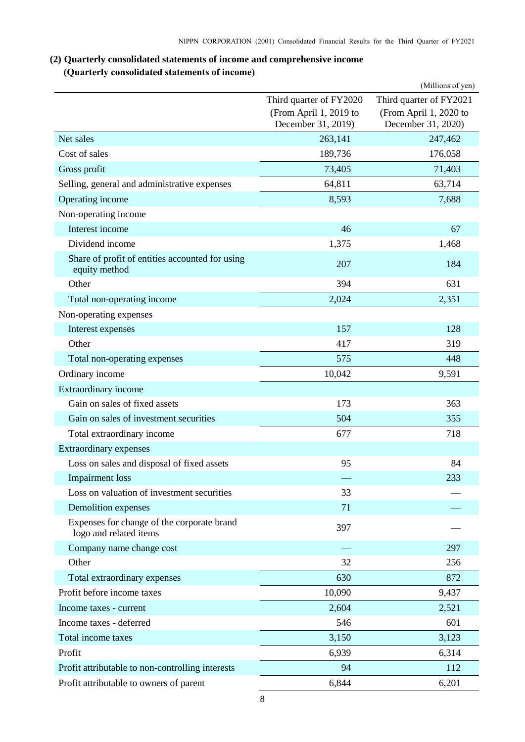## <span id="page-9-0"></span>**(2) Quarterly consolidated statements of income and comprehensive income (Quarterly consolidated statements of income)**

<span id="page-9-1"></span>

|                                                                      |                                              | (Millions of yen)                            |
|----------------------------------------------------------------------|----------------------------------------------|----------------------------------------------|
|                                                                      | Third quarter of FY2020                      | Third quarter of FY2021                      |
|                                                                      | (From April 1, 2019 to<br>December 31, 2019) | (From April 1, 2020 to<br>December 31, 2020) |
| Net sales                                                            | 263,141                                      | 247,462                                      |
| Cost of sales                                                        | 189,736                                      | 176,058                                      |
| Gross profit                                                         | 73,405                                       | 71,403                                       |
| Selling, general and administrative expenses                         | 64,811                                       | 63,714                                       |
| Operating income                                                     | 8,593                                        | 7,688                                        |
| Non-operating income                                                 |                                              |                                              |
| Interest income                                                      | 46                                           | 67                                           |
| Dividend income                                                      | 1,375                                        | 1,468                                        |
| Share of profit of entities accounted for using<br>equity method     | 207                                          | 184                                          |
| Other                                                                | 394                                          | 631                                          |
| Total non-operating income                                           | 2,024                                        | 2,351                                        |
| Non-operating expenses                                               |                                              |                                              |
| Interest expenses                                                    | 157                                          | 128                                          |
| Other                                                                | 417                                          | 319                                          |
| Total non-operating expenses                                         | 575                                          | 448                                          |
| Ordinary income                                                      | 10,042                                       | 9,591                                        |
| Extraordinary income                                                 |                                              |                                              |
| Gain on sales of fixed assets                                        | 173                                          | 363                                          |
| Gain on sales of investment securities                               | 504                                          | 355                                          |
| Total extraordinary income                                           | 677                                          | 718                                          |
| <b>Extraordinary expenses</b>                                        |                                              |                                              |
| Loss on sales and disposal of fixed assets                           | 95                                           | 84                                           |
| <b>Impairment</b> loss                                               |                                              | 233                                          |
| Loss on valuation of investment securities                           | 33                                           |                                              |
| Demolition expenses                                                  | 71                                           |                                              |
| Expenses for change of the corporate brand<br>logo and related items | 397                                          |                                              |
| Company name change cost                                             |                                              | 297                                          |
| Other                                                                | 32                                           | 256                                          |
| Total extraordinary expenses                                         | 630                                          | 872                                          |
| Profit before income taxes                                           | 10,090                                       | 9,437                                        |
| Income taxes - current                                               | 2,604                                        | 2,521                                        |
| Income taxes - deferred                                              | 546                                          | 601                                          |
| Total income taxes                                                   | 3,150                                        | 3,123                                        |
| Profit                                                               | 6,939                                        | 6,314                                        |
| Profit attributable to non-controlling interests                     | 94                                           | 112                                          |
| Profit attributable to owners of parent                              | 6,844                                        | 6,201                                        |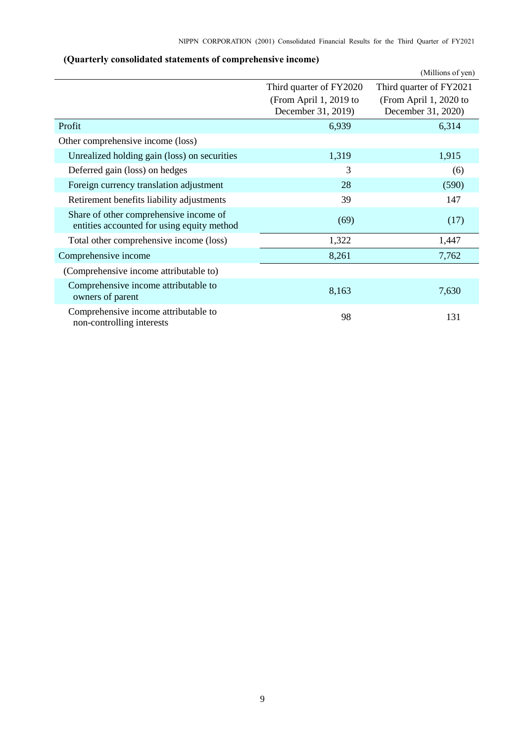<span id="page-10-0"></span>

|                                                                                      |                                              | (Millions of yen)                            |
|--------------------------------------------------------------------------------------|----------------------------------------------|----------------------------------------------|
|                                                                                      | Third quarter of FY2020                      | Third quarter of FY2021                      |
|                                                                                      | (From April 1, 2019 to<br>December 31, 2019) | (From April 1, 2020 to<br>December 31, 2020) |
| Profit                                                                               | 6,939                                        | 6,314                                        |
| Other comprehensive income (loss)                                                    |                                              |                                              |
| Unrealized holding gain (loss) on securities                                         | 1,319                                        | 1,915                                        |
| Deferred gain (loss) on hedges                                                       | 3                                            | (6)                                          |
| Foreign currency translation adjustment                                              | 28                                           | (590)                                        |
| Retirement benefits liability adjustments                                            | 39                                           | 147                                          |
| Share of other comprehensive income of<br>entities accounted for using equity method | (69)                                         | (17)                                         |
| Total other comprehensive income (loss)                                              | 1,322                                        | 1,447                                        |
| Comprehensive income                                                                 | 8,261                                        | 7,762                                        |
| (Comprehensive income attributable to)                                               |                                              |                                              |
| Comprehensive income attributable to<br>owners of parent                             | 8,163                                        | 7,630                                        |
| Comprehensive income attributable to<br>non-controlling interests                    | 98                                           | 131                                          |

## **(Quarterly consolidated statements of comprehensive income)**